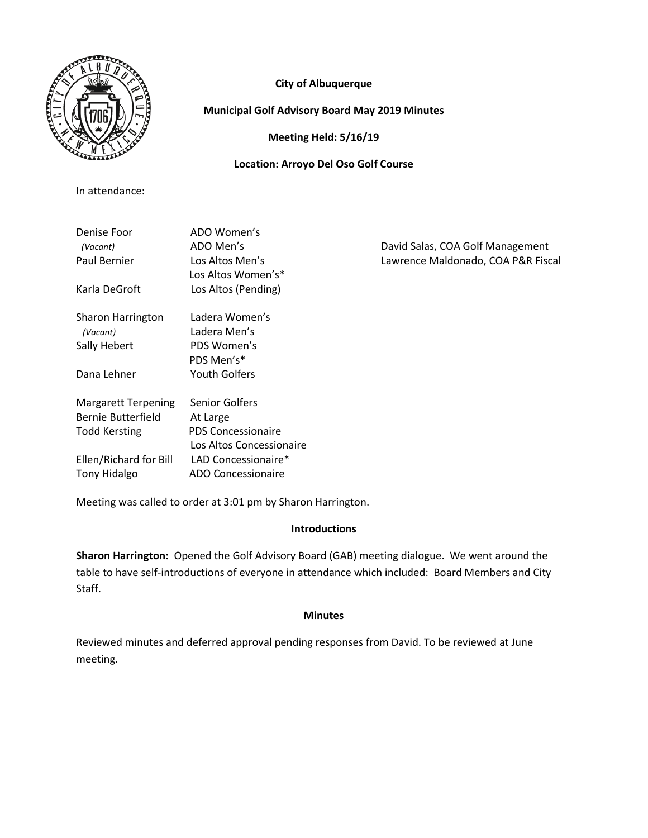

# **City of Albuquerque**

# **Municipal Golf Advisory Board May 2019 Minutes**

**Meeting Held: 5/16/19**

## **Location: Arroyo Del Oso Golf Course**

In attendance:

| Denise Foor<br>(Vacant)<br>Paul Bernier | ADO Women's<br>ADO Men's<br>Los Altos Men's<br>Los Altos Women's* | David Salas, COA Golf Management<br>Lawrence Maldonado, COA P&R Fiscal |
|-----------------------------------------|-------------------------------------------------------------------|------------------------------------------------------------------------|
| Karla DeGroft                           | Los Altos (Pending)                                               |                                                                        |
| Sharon Harrington                       | Ladera Women's                                                    |                                                                        |
| (Vacant)                                | Ladera Men's                                                      |                                                                        |
| Sally Hebert                            | PDS Women's                                                       |                                                                        |
|                                         | PDS Men's*                                                        |                                                                        |
| Dana Lehner                             | <b>Youth Golfers</b>                                              |                                                                        |
| Margarett Terpening                     | Senior Golfers                                                    |                                                                        |
| Bernie Butterfield                      | At Large                                                          |                                                                        |
| <b>Todd Kersting</b>                    | <b>PDS Concessionaire</b>                                         |                                                                        |
|                                         | Los Altos Concessionaire                                          |                                                                        |
| Ellen/Richard for Bill                  | LAD Concessionaire*                                               |                                                                        |
| <b>Tony Hidalgo</b>                     | <b>ADO Concessionaire</b>                                         |                                                                        |

Meeting was called to order at 3:01 pm by Sharon Harrington.

# **Introductions**

**Sharon Harrington:** Opened the Golf Advisory Board (GAB) meeting dialogue. We went around the table to have self-introductions of everyone in attendance which included: Board Members and City Staff.

## **Minutes**

Reviewed minutes and deferred approval pending responses from David. To be reviewed at June meeting.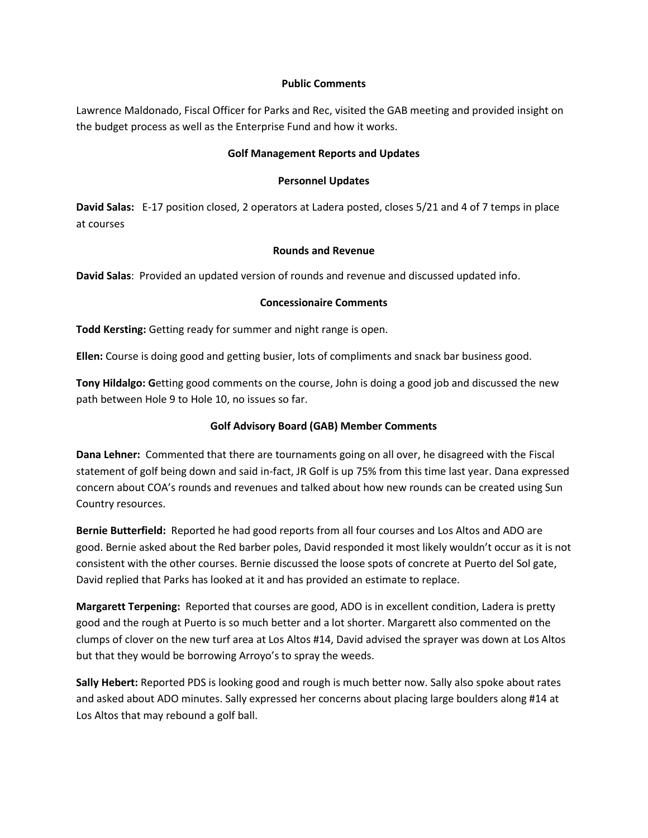#### **Public Comments**

Lawrence Maldonado, Fiscal Officer for Parks and Rec, visited the GAB meeting and provided insight on the budget process as well as the Enterprise Fund and how it works.

### **Golf Management Reports and Updates**

#### **Personnel Updates**

**David Salas:** E-17 position closed, 2 operators at Ladera posted, closes 5/21 and 4 of 7 temps in place at courses

#### **Rounds and Revenue**

**David Salas**: Provided an updated version of rounds and revenue and discussed updated info.

#### **Concessionaire Comments**

**Todd Kersting:** Getting ready for summer and night range is open.

**Ellen:** Course is doing good and getting busier, lots of compliments and snack bar business good.

**Tony Hildalgo: G**etting good comments on the course, John is doing a good job and discussed the new path between Hole 9 to Hole 10, no issues so far.

## **Golf Advisory Board (GAB) Member Comments**

**Dana Lehner:** Commented that there are tournaments going on all over, he disagreed with the Fiscal statement of golf being down and said in-fact, JR Golf is up 75% from this time last year. Dana expressed concern about COA's rounds and revenues and talked about how new rounds can be created using Sun Country resources.

**Bernie Butterfield:** Reported he had good reports from all four courses and Los Altos and ADO are good. Bernie asked about the Red barber poles, David responded it most likely wouldn't occur as it is not consistent with the other courses. Bernie discussed the loose spots of concrete at Puerto del Sol gate, David replied that Parks has looked at it and has provided an estimate to replace.

**Margarett Terpening:** Reported that courses are good, ADO is in excellent condition, Ladera is pretty good and the rough at Puerto is so much better and a lot shorter. Margarett also commented on the clumps of clover on the new turf area at Los Altos #14, David advised the sprayer was down at Los Altos but that they would be borrowing Arroyo's to spray the weeds.

**Sally Hebert:** Reported PDS is looking good and rough is much better now. Sally also spoke about rates and asked about ADO minutes. Sally expressed her concerns about placing large boulders along #14 at Los Altos that may rebound a golf ball.